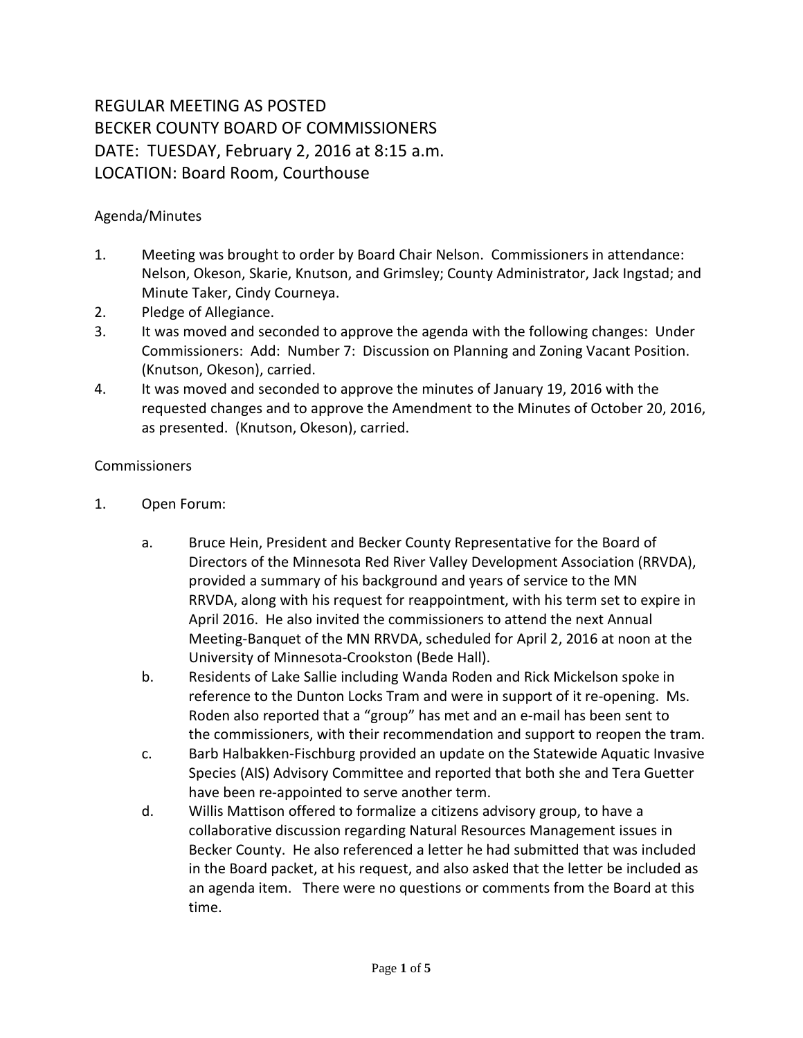## REGULAR MEETING AS POSTED BECKER COUNTY BOARD OF COMMISSIONERS DATE: TUESDAY, February 2, 2016 at 8:15 a.m. LOCATION: Board Room, Courthouse

## Agenda/Minutes

- 1. Meeting was brought to order by Board Chair Nelson. Commissioners in attendance: Nelson, Okeson, Skarie, Knutson, and Grimsley; County Administrator, Jack Ingstad; and Minute Taker, Cindy Courneya.
- 2. Pledge of Allegiance.
- 3. It was moved and seconded to approve the agenda with the following changes: Under Commissioners: Add: Number 7: Discussion on Planning and Zoning Vacant Position. (Knutson, Okeson), carried.
- 4. It was moved and seconded to approve the minutes of January 19, 2016 with the requested changes and to approve the Amendment to the Minutes of October 20, 2016, as presented. (Knutson, Okeson), carried.

## Commissioners

- 1. Open Forum:
	- a. Bruce Hein, President and Becker County Representative for the Board of Directors of the Minnesota Red River Valley Development Association (RRVDA), provided a summary of his background and years of service to the MN RRVDA, along with his request for reappointment, with his term set to expire in April 2016. He also invited the commissioners to attend the next Annual Meeting-Banquet of the MN RRVDA, scheduled for April 2, 2016 at noon at the University of Minnesota-Crookston (Bede Hall).
	- b. Residents of Lake Sallie including Wanda Roden and Rick Mickelson spoke in reference to the Dunton Locks Tram and were in support of it re-opening. Ms. Roden also reported that a "group" has met and an e-mail has been sent to the commissioners, with their recommendation and support to reopen the tram.
	- c. Barb Halbakken-Fischburg provided an update on the Statewide Aquatic Invasive Species (AIS) Advisory Committee and reported that both she and Tera Guetter have been re-appointed to serve another term.
	- d. Willis Mattison offered to formalize a citizens advisory group, to have a collaborative discussion regarding Natural Resources Management issues in Becker County. He also referenced a letter he had submitted that was included in the Board packet, at his request, and also asked that the letter be included as an agenda item. There were no questions or comments from the Board at this time.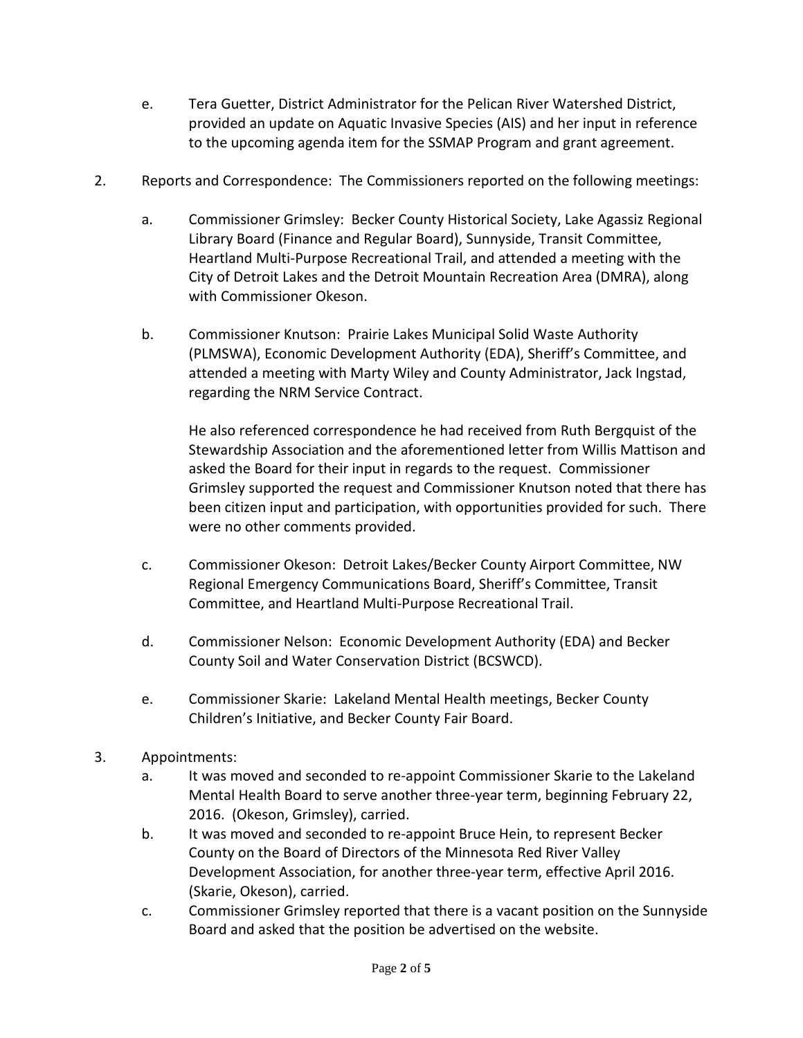- e. Tera Guetter, District Administrator for the Pelican River Watershed District, provided an update on Aquatic Invasive Species (AIS) and her input in reference to the upcoming agenda item for the SSMAP Program and grant agreement.
- 2. Reports and Correspondence: The Commissioners reported on the following meetings:
	- a. Commissioner Grimsley: Becker County Historical Society, Lake Agassiz Regional Library Board (Finance and Regular Board), Sunnyside, Transit Committee, Heartland Multi-Purpose Recreational Trail, and attended a meeting with the City of Detroit Lakes and the Detroit Mountain Recreation Area (DMRA), along with Commissioner Okeson.
	- b. Commissioner Knutson: Prairie Lakes Municipal Solid Waste Authority (PLMSWA), Economic Development Authority (EDA), Sheriff's Committee, and attended a meeting with Marty Wiley and County Administrator, Jack Ingstad, regarding the NRM Service Contract.

He also referenced correspondence he had received from Ruth Bergquist of the Stewardship Association and the aforementioned letter from Willis Mattison and asked the Board for their input in regards to the request. Commissioner Grimsley supported the request and Commissioner Knutson noted that there has been citizen input and participation, with opportunities provided for such. There were no other comments provided.

- c. Commissioner Okeson: Detroit Lakes/Becker County Airport Committee, NW Regional Emergency Communications Board, Sheriff's Committee, Transit Committee, and Heartland Multi-Purpose Recreational Trail.
- d. Commissioner Nelson: Economic Development Authority (EDA) and Becker County Soil and Water Conservation District (BCSWCD).
- e. Commissioner Skarie: Lakeland Mental Health meetings, Becker County Children's Initiative, and Becker County Fair Board.
- 3. Appointments:
	- a. It was moved and seconded to re-appoint Commissioner Skarie to the Lakeland Mental Health Board to serve another three-year term, beginning February 22, 2016. (Okeson, Grimsley), carried.
	- b. It was moved and seconded to re-appoint Bruce Hein, to represent Becker County on the Board of Directors of the Minnesota Red River Valley Development Association, for another three-year term, effective April 2016. (Skarie, Okeson), carried.
	- c. Commissioner Grimsley reported that there is a vacant position on the Sunnyside Board and asked that the position be advertised on the website.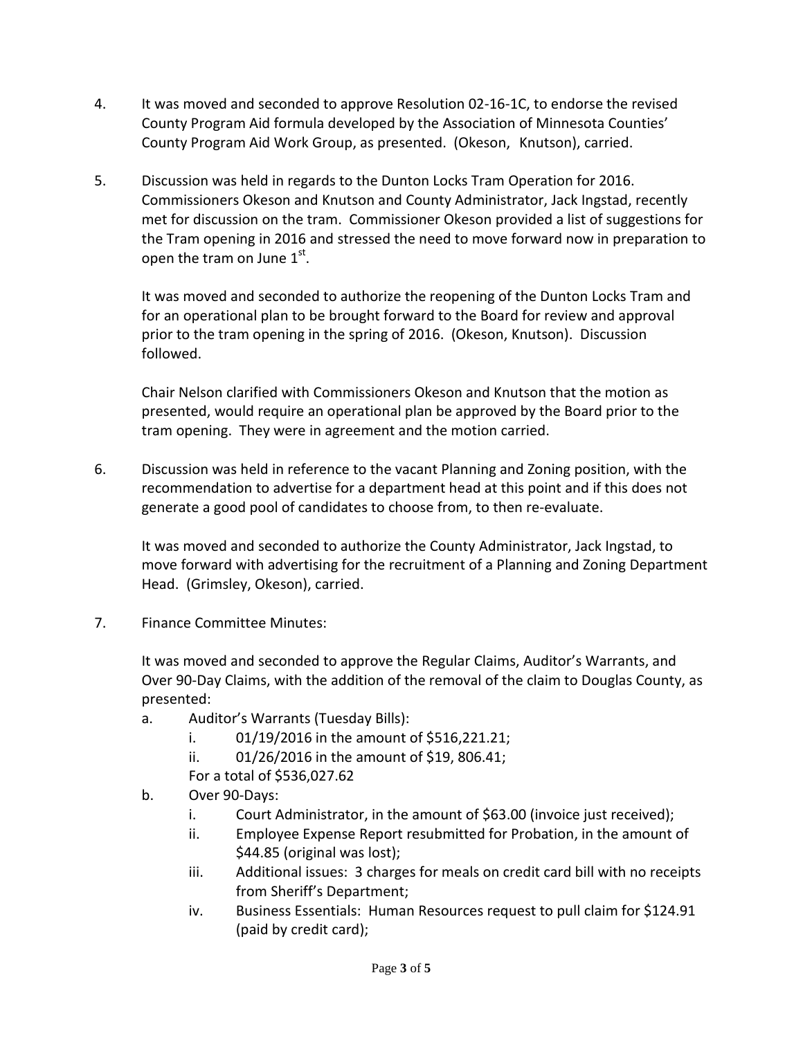- 4. It was moved and seconded to approve Resolution 02-16-1C, to endorse the revised County Program Aid formula developed by the Association of Minnesota Counties' County Program Aid Work Group, as presented. (Okeson, Knutson), carried.
- 5. Discussion was held in regards to the Dunton Locks Tram Operation for 2016. Commissioners Okeson and Knutson and County Administrator, Jack Ingstad, recently met for discussion on the tram. Commissioner Okeson provided a list of suggestions for the Tram opening in 2016 and stressed the need to move forward now in preparation to open the tram on June  $1<sup>st</sup>$ .

It was moved and seconded to authorize the reopening of the Dunton Locks Tram and for an operational plan to be brought forward to the Board for review and approval prior to the tram opening in the spring of 2016. (Okeson, Knutson). Discussion followed.

Chair Nelson clarified with Commissioners Okeson and Knutson that the motion as presented, would require an operational plan be approved by the Board prior to the tram opening. They were in agreement and the motion carried.

6. Discussion was held in reference to the vacant Planning and Zoning position, with the recommendation to advertise for a department head at this point and if this does not generate a good pool of candidates to choose from, to then re-evaluate.

It was moved and seconded to authorize the County Administrator, Jack Ingstad, to move forward with advertising for the recruitment of a Planning and Zoning Department Head. (Grimsley, Okeson), carried.

7. Finance Committee Minutes:

It was moved and seconded to approve the Regular Claims, Auditor's Warrants, and Over 90-Day Claims, with the addition of the removal of the claim to Douglas County, as presented:

- a. Auditor's Warrants (Tuesday Bills):
	- i.  $01/19/2016$  in the amount of \$516,221.21;
	- ii. 01/26/2016 in the amount of \$19, 806.41;
	- For a total of \$536,027.62
- b. Over 90-Days:
	- i. Court Administrator, in the amount of \$63.00 (invoice just received);
	- ii. Employee Expense Report resubmitted for Probation, in the amount of \$44.85 (original was lost);
	- iii. Additional issues: 3 charges for meals on credit card bill with no receipts from Sheriff's Department;
	- iv. Business Essentials: Human Resources request to pull claim for \$124.91 (paid by credit card);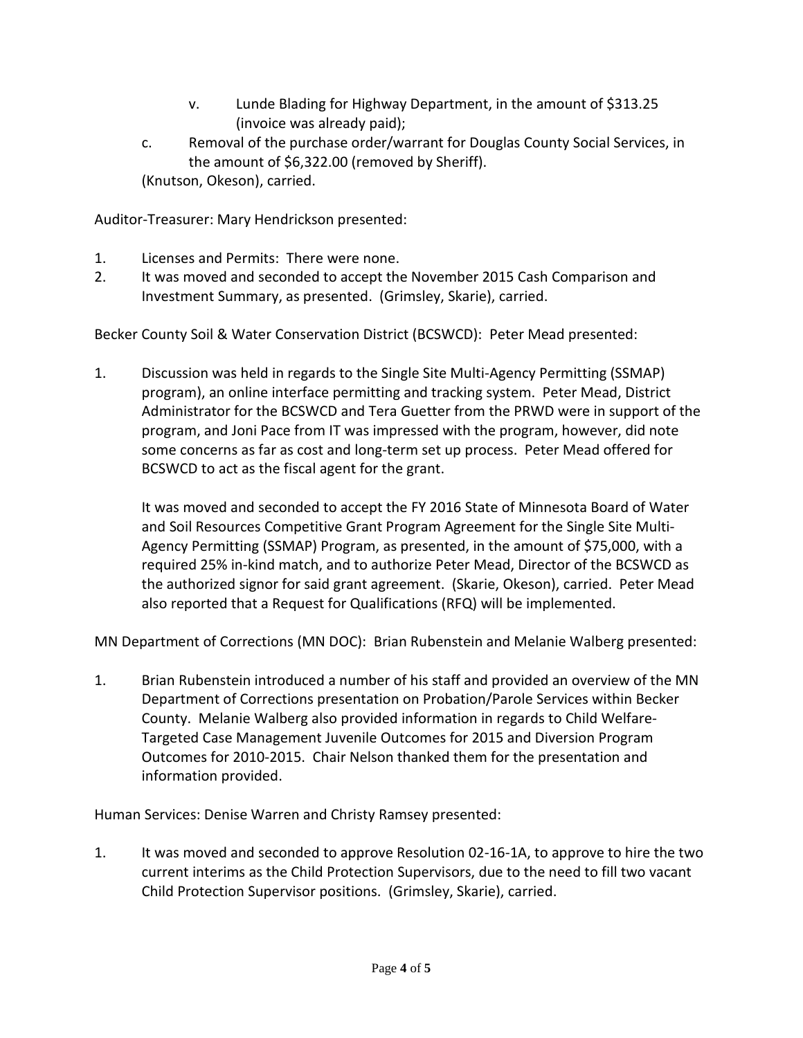- v. Lunde Blading for Highway Department, in the amount of \$313.25 (invoice was already paid);
- c. Removal of the purchase order/warrant for Douglas County Social Services, in the amount of \$6,322.00 (removed by Sheriff). (Knutson, Okeson), carried.

Auditor-Treasurer: Mary Hendrickson presented:

- 1. Licenses and Permits: There were none.
- 2. It was moved and seconded to accept the November 2015 Cash Comparison and Investment Summary, as presented. (Grimsley, Skarie), carried.

Becker County Soil & Water Conservation District (BCSWCD): Peter Mead presented:

1. Discussion was held in regards to the Single Site Multi-Agency Permitting (SSMAP) program), an online interface permitting and tracking system. Peter Mead, District Administrator for the BCSWCD and Tera Guetter from the PRWD were in support of the program, and Joni Pace from IT was impressed with the program, however, did note some concerns as far as cost and long-term set up process. Peter Mead offered for BCSWCD to act as the fiscal agent for the grant.

It was moved and seconded to accept the FY 2016 State of Minnesota Board of Water and Soil Resources Competitive Grant Program Agreement for the Single Site Multi-Agency Permitting (SSMAP) Program, as presented, in the amount of \$75,000, with a required 25% in-kind match, and to authorize Peter Mead, Director of the BCSWCD as the authorized signor for said grant agreement. (Skarie, Okeson), carried. Peter Mead also reported that a Request for Qualifications (RFQ) will be implemented.

MN Department of Corrections (MN DOC): Brian Rubenstein and Melanie Walberg presented:

1. Brian Rubenstein introduced a number of his staff and provided an overview of the MN Department of Corrections presentation on Probation/Parole Services within Becker County. Melanie Walberg also provided information in regards to Child Welfare-Targeted Case Management Juvenile Outcomes for 2015 and Diversion Program Outcomes for 2010-2015. Chair Nelson thanked them for the presentation and information provided.

Human Services: Denise Warren and Christy Ramsey presented:

1. It was moved and seconded to approve Resolution 02-16-1A, to approve to hire the two current interims as the Child Protection Supervisors, due to the need to fill two vacant Child Protection Supervisor positions. (Grimsley, Skarie), carried.